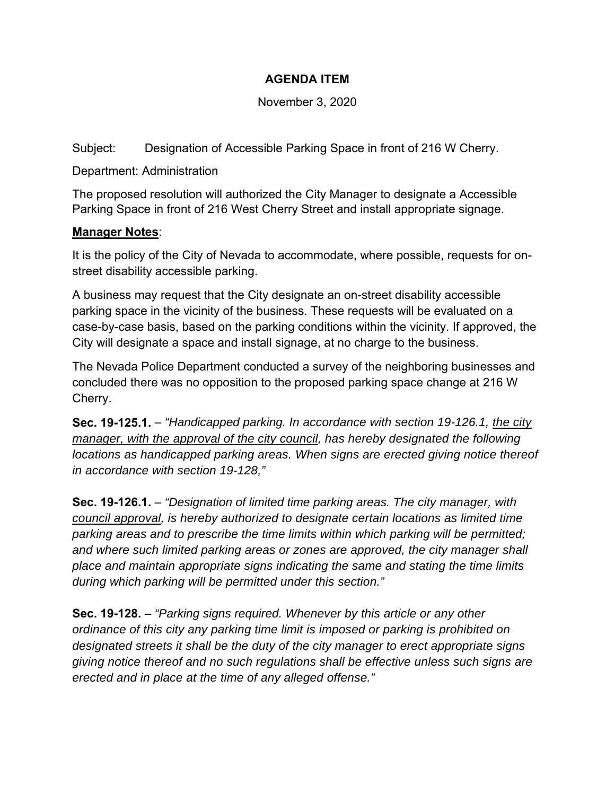## **AGENDA ITEM**

November 3, 2020

Subject: Designation of Accessible Parking Space in front of 216 W Cherry.

Department: Administration

The proposed resolution will authorized the City Manager to designate a Accessible Parking Space in front of 216 West Cherry Street and install appropriate signage.

## **Manager Notes**:

It is the policy of the City of Nevada to accommodate, where possible, requests for onstreet disability accessible parking.

A business may request that the City designate an on-street disability accessible parking space in the vicinity of the business. These requests will be evaluated on a case-by-case basis, based on the parking conditions within the vicinity. If approved, the City will designate a space and install signage, at no charge to the business.

The Nevada Police Department conducted a survey of the neighboring businesses and concluded there was no opposition to the proposed parking space change at 216 W Cherry.

**Sec. 19-125.1.** – *"Handicapped parking. In accordance with section 19-126.1, the city manager, with the approval of the city council, has hereby designated the following locations as handicapped parking areas. When signs are erected giving notice thereof in accordance with section 19-128,"*

**Sec. 19-126.1.** – *"Designation of limited time parking areas. The city manager, with council approval, is hereby authorized to designate certain locations as limited time parking areas and to prescribe the time limits within which parking will be permitted; and where such limited parking areas or zones are approved, the city manager shall place and maintain appropriate signs indicating the same and stating the time limits during which parking will be permitted under this section."*

**Sec. 19-128.** – *"Parking signs required. Whenever by this article or any other ordinance of this city any parking time limit is imposed or parking is prohibited on designated streets it shall be the duty of the city manager to erect appropriate signs giving notice thereof and no such regulations shall be effective unless such signs are erected and in place at the time of any alleged offense."*